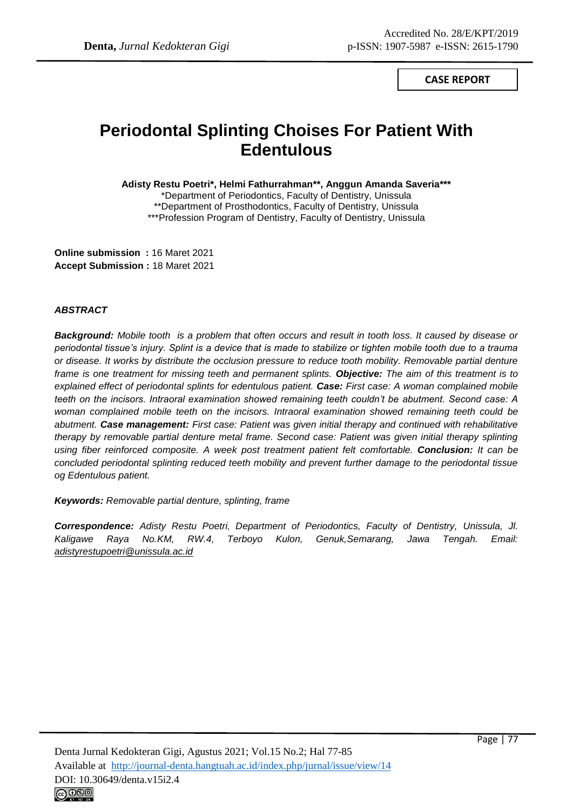**CASE REPORT**

# **Periodontal Splinting Choises For Patient With Edentulous**

**Adisty Restu Poetri\*, Helmi Fathurrahman\*\*, Anggun Amanda Saveria\*\*\***

\*Department of Periodontics, Faculty of Dentistry, Unissula \*\*Department of Prosthodontics, Faculty of Dentistry, Unissula \*\*\*Profession Program of Dentistry, Faculty of Dentistry, Unissula

**Online submission :** 16 Maret 2021 **Accept Submission :** 18 Maret 2021

### *ABSTRACT*

*Background: Mobile tooth is a problem that often occurs and result in tooth loss. It caused by disease or periodontal tissue's injury. Splint is a device that is made to stabilize or tighten mobile tooth due to a trauma or disease. It works by distribute the occlusion pressure to reduce tooth mobility. Removable partial denture frame is one treatment for missing teeth and permanent splints. Objective: The aim of this treatment is to explained effect of periodontal splints for edentulous patient. Case: First case: A woman complained mobile teeth on the incisors. Intraoral examination showed remaining teeth couldn't be abutment. Second case: A woman complained mobile teeth on the incisors. Intraoral examination showed remaining teeth could be abutment. Case management: First case: Patient was given initial therapy and continued with rehabilitative therapy by removable partial denture metal frame. Second case: Patient was given initial therapy splinting using fiber reinforced composite. A week post treatment patient felt comfortable. Conclusion: It can be concluded periodontal splinting reduced teeth mobility and prevent further damage to the periodontal tissue og Edentulous patient.*

*Keywords: Removable partial denture, splinting, frame*

*Correspondence: Adisty Restu Poetri, Department of Periodontics, Faculty of Dentistry, Unissula, Jl. Kaligawe Raya No.KM, RW.4, Terboyo Kulon, Genuk,Semarang, Jawa Tengah. Email: adistyrestupoetri@unissula.ac.id*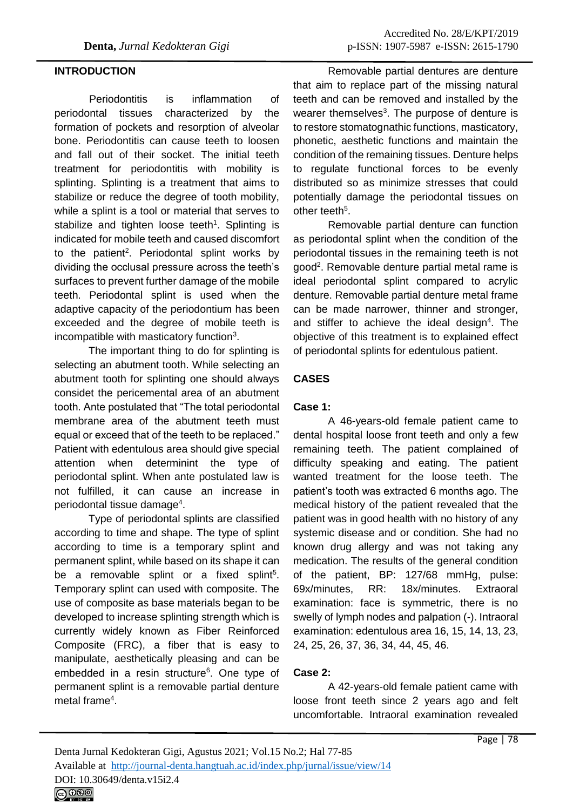## **INTRODUCTION**

Periodontitis is inflammation of periodontal tissues characterized by the formation of pockets and resorption of alveolar bone. Periodontitis can cause teeth to loosen and fall out of their socket. The initial teeth treatment for periodontitis with mobility is splinting. Splinting is a treatment that aims to stabilize or reduce the degree of tooth mobility, while a splint is a tool or material that serves to stabilize and tighten loose teeth<sup>1</sup>. Splinting is indicated for mobile teeth and caused discomfort to the patient<sup>2</sup>. Periodontal splint works by dividing the occlusal pressure across the teeth's surfaces to prevent further damage of the mobile teeth. Periodontal splint is used when the adaptive capacity of the periodontium has been exceeded and the degree of mobile teeth is incompatible with masticatory function<sup>3</sup>.

The important thing to do for splinting is selecting an abutment tooth. While selecting an abutment tooth for splinting one should always considet the pericemental area of an abutment tooth. Ante postulated that "The total periodontal membrane area of the abutment teeth must equal or exceed that of the teeth to be replaced." Patient with edentulous area should give special attention when determinint the type of periodontal splint. When ante postulated law is not fulfilled, it can cause an increase in periodontal tissue damage<sup>4</sup>.

Type of periodontal splints are classified according to time and shape. The type of splint according to time is a temporary splint and permanent splint, while based on its shape it can be a removable splint or a fixed splint<sup>5</sup>. Temporary splint can used with composite. The use of composite as base materials began to be developed to increase splinting strength which is currently widely known as Fiber Reinforced Composite (FRC), a fiber that is easy to manipulate, aesthetically pleasing and can be embedded in a resin structure<sup>6</sup>. One type of permanent splint is a removable partial denture metal frame<sup>4</sup>.

Removable partial dentures are denture that aim to replace part of the missing natural teeth and can be removed and installed by the wearer themselves<sup>3</sup>. The purpose of denture is to restore stomatognathic functions, masticatory, phonetic, aesthetic functions and maintain the condition of the remaining tissues. Denture helps to regulate functional forces to be evenly distributed so as minimize stresses that could potentially damage the periodontal tissues on other teeth<sup>5</sup>.

Removable partial denture can function as periodontal splint when the condition of the periodontal tissues in the remaining teeth is not good<sup>2</sup>. Removable denture partial metal rame is ideal periodontal splint compared to acrylic denture. Removable partial denture metal frame can be made narrower, thinner and stronger, and stiffer to achieve the ideal design<sup>4</sup>. The objective of this treatment is to explained effect of periodontal splints for edentulous patient.

# **CASES**

## **Case 1:**

A 46-years-old female patient came to dental hospital loose front teeth and only a few remaining teeth. The patient complained of difficulty speaking and eating. The patient wanted treatment for the loose teeth. The patient's tooth was extracted 6 months ago. The medical history of the patient revealed that the patient was in good health with no history of any systemic disease and or condition. She had no known drug allergy and was not taking any medication. The results of the general condition of the patient, BP: 127/68 mmHg, pulse: 69x/minutes, RR: 18x/minutes. Extraoral examination: face is symmetric, there is no swelly of lymph nodes and palpation (-). Intraoral examination: edentulous area 16, 15, 14, 13, 23, 24, 25, 26, 37, 36, 34, 44, 45, 46.

# **Case 2:**

A 42-years-old female patient came with loose front teeth since 2 years ago and felt uncomfortable. Intraoral examination revealed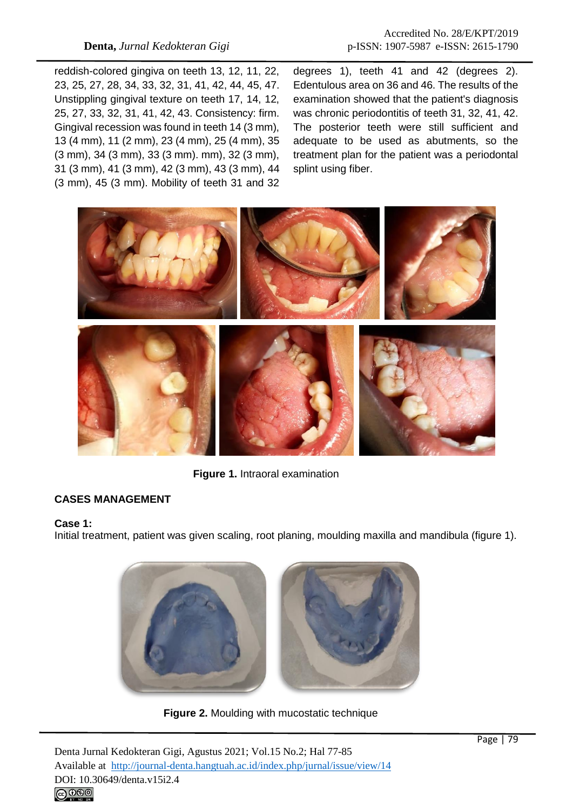reddish-colored gingiva on teeth 13, 12, 11, 22, 23, 25, 27, 28, 34, 33, 32, 31, 41, 42, 44, 45, 47. Unstippling gingival texture on teeth 17, 14, 12, 25, 27, 33, 32, 31, 41, 42, 43. Consistency: firm. Gingival recession was found in teeth 14 (3 mm), 13 (4 mm), 11 (2 mm), 23 (4 mm), 25 (4 mm), 35 (3 mm), 34 (3 mm), 33 (3 mm). mm), 32 (3 mm), 31 (3 mm), 41 (3 mm), 42 (3 mm), 43 (3 mm), 44 (3 mm), 45 (3 mm). Mobility of teeth 31 and 32 degrees 1), teeth 41 and 42 (degrees 2). Edentulous area on 36 and 46. The results of the examination showed that the patient's diagnosis was chronic periodontitis of teeth 31, 32, 41, 42. The posterior teeth were still sufficient and adequate to be used as abutments, so the treatment plan for the patient was a periodontal splint using fiber.



**Figure 1.** Intraoral examination

# **CASES MANAGEMENT**

### **Case 1:**

Initial treatment, patient was given scaling, root planing, moulding maxilla and mandibula (figure 1).



**Figure 2.** Moulding with mucostatic technique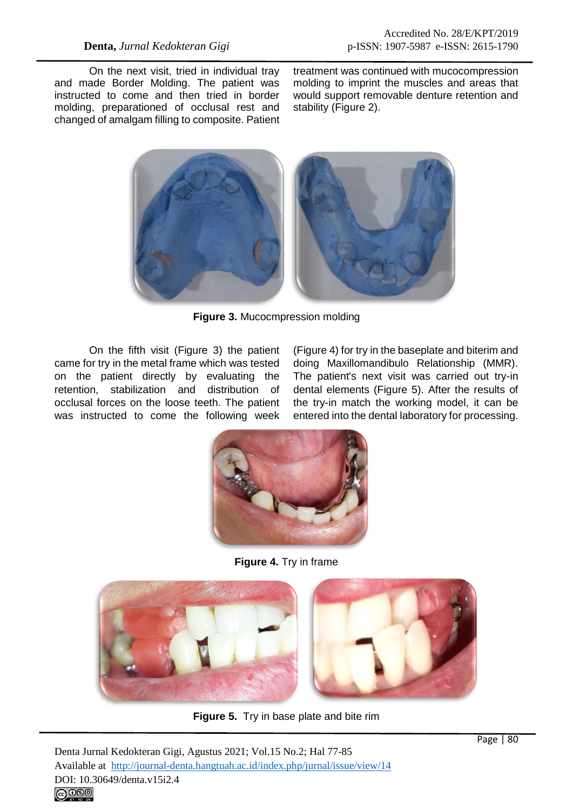On the next visit, tried in individual tray and made Border Molding. The patient was instructed to come and then tried in border molding, preparationed of occlusal rest and changed of amalgam filling to composite. Patient treatment was continued with mucocompression molding to imprint the muscles and areas that would support removable denture retention and stability (Figure 2).



**Figure 3.** Mucocmpression molding

On the fifth visit (Figure 3) the patient came for try in the metal frame which was tested on the patient directly by evaluating the retention, stabilization and distribution of occlusal forces on the loose teeth. The patient was instructed to come the following week

(Figure 4) for try in the baseplate and biterim and doing Maxillomandibulo Relationship (MMR). The patient's next visit was carried out try-in dental elements (Figure 5). After the results of the try-in match the working model, it can be entered into the dental laboratory for processing.



**Figure 4.** Try in frame



**Figure 5.** Try in base plate and bite rim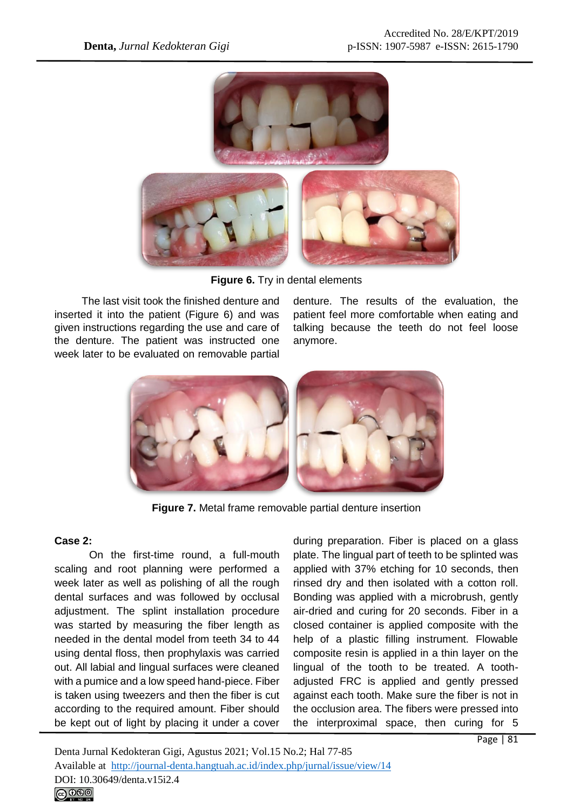

**Figure 6.** Try in dental elements

The last visit took the finished denture and inserted it into the patient (Figure 6) and was given instructions regarding the use and care of the denture. The patient was instructed one week later to be evaluated on removable partial

denture. The results of the evaluation, the patient feel more comfortable when eating and talking because the teeth do not feel loose anymore.



**Figure 7.** Metal frame removable partial denture insertion

# **Case 2:**

On the first-time round, a full-mouth scaling and root planning were performed a week later as well as polishing of all the rough dental surfaces and was followed by occlusal adjustment. The splint installation procedure was started by measuring the fiber length as needed in the dental model from teeth 34 to 44 using dental floss, then prophylaxis was carried out. All labial and lingual surfaces were cleaned with a pumice and a low speed hand-piece. Fiber is taken using tweezers and then the fiber is cut according to the required amount. Fiber should be kept out of light by placing it under a cover

during preparation. Fiber is placed on a glass plate. The lingual part of teeth to be splinted was applied with 37% etching for 10 seconds, then rinsed dry and then isolated with a cotton roll. Bonding was applied with a microbrush, gently air-dried and curing for 20 seconds. Fiber in a closed container is applied composite with the help of a plastic filling instrument. Flowable composite resin is applied in a thin layer on the lingual of the tooth to be treated. A toothadjusted FRC is applied and gently pressed against each tooth. Make sure the fiber is not in the occlusion area. The fibers were pressed into the interproximal space, then curing for 5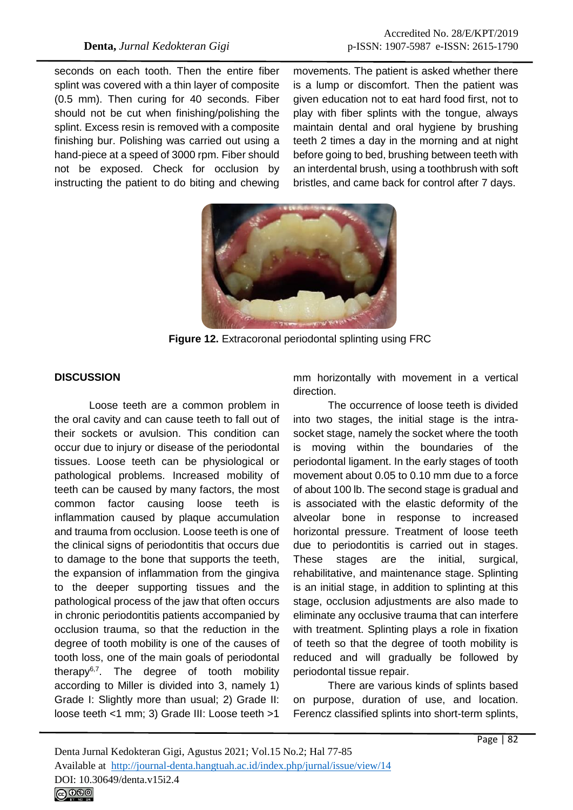seconds on each tooth. Then the entire fiber splint was covered with a thin layer of composite (0.5 mm). Then curing for 40 seconds. Fiber should not be cut when finishing/polishing the splint. Excess resin is removed with a composite finishing bur. Polishing was carried out using a hand-piece at a speed of 3000 rpm. Fiber should not be exposed. Check for occlusion by instructing the patient to do biting and chewing

movements. The patient is asked whether there is a lump or discomfort. Then the patient was given education not to eat hard food first, not to play with fiber splints with the tongue, always maintain dental and oral hygiene by brushing teeth 2 times a day in the morning and at night before going to bed, brushing between teeth with an interdental brush, using a toothbrush with soft bristles, and came back for control after 7 days.



**Figure 12.** Extracoronal periodontal splinting using FRC

## **DISCUSSION**

Loose teeth are a common problem in the oral cavity and can cause teeth to fall out of their sockets or avulsion. This condition can occur due to injury or disease of the periodontal tissues. Loose teeth can be physiological or pathological problems. Increased mobility of teeth can be caused by many factors, the most common factor causing loose teeth is inflammation caused by plaque accumulation and trauma from occlusion. Loose teeth is one of the clinical signs of periodontitis that occurs due to damage to the bone that supports the teeth, the expansion of inflammation from the gingiva to the deeper supporting tissues and the pathological process of the jaw that often occurs in chronic periodontitis patients accompanied by occlusion trauma, so that the reduction in the degree of tooth mobility is one of the causes of tooth loss, one of the main goals of periodontal therapy $6,7$ . The degree of tooth mobility according to Miller is divided into 3, namely 1) Grade I: Slightly more than usual; 2) Grade II: loose teeth <1 mm; 3) Grade III: Loose teeth >1

mm horizontally with movement in a vertical direction.

The occurrence of loose teeth is divided into two stages, the initial stage is the intrasocket stage, namely the socket where the tooth is moving within the boundaries of the periodontal ligament. In the early stages of tooth movement about 0.05 to 0.10 mm due to a force of about 100 lb. The second stage is gradual and is associated with the elastic deformity of the alveolar bone in response to increased horizontal pressure. Treatment of loose teeth due to periodontitis is carried out in stages. These stages are the initial, surgical, rehabilitative, and maintenance stage. Splinting is an initial stage, in addition to splinting at this stage, occlusion adjustments are also made to eliminate any occlusive trauma that can interfere with treatment. Splinting plays a role in fixation of teeth so that the degree of tooth mobility is reduced and will gradually be followed by periodontal tissue repair.

There are various kinds of splints based on purpose, duration of use, and location. Ferencz classified splints into short-term splints,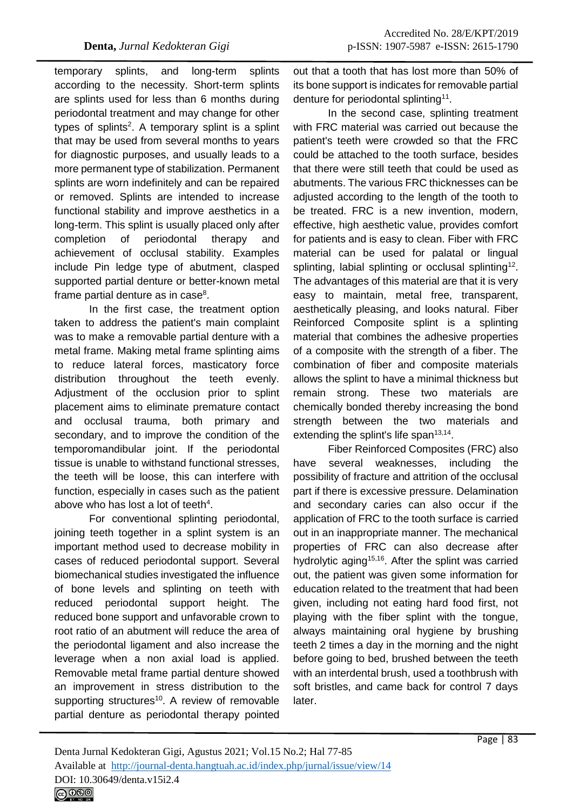temporary splints, and long-term splints according to the necessity. Short-term splints are splints used for less than 6 months during periodontal treatment and may change for other types of splints<sup>2</sup>. A temporary splint is a splint that may be used from several months to years for diagnostic purposes, and usually leads to a more permanent type of stabilization. Permanent splints are worn indefinitely and can be repaired or removed. Splints are intended to increase functional stability and improve aesthetics in a long-term. This splint is usually placed only after completion of periodontal therapy and achievement of occlusal stability. Examples include Pin ledge type of abutment, clasped supported partial denture or better-known metal frame partial denture as in case<sup>8</sup>.

In the first case, the treatment option taken to address the patient's main complaint was to make a removable partial denture with a metal frame. Making metal frame splinting aims to reduce lateral forces, masticatory force distribution throughout the teeth evenly. Adjustment of the occlusion prior to splint placement aims to eliminate premature contact and occlusal trauma, both primary and secondary, and to improve the condition of the temporomandibular joint. If the periodontal tissue is unable to withstand functional stresses, the teeth will be loose, this can interfere with function, especially in cases such as the patient above who has lost a lot of teeth $4$ .

For conventional splinting periodontal, joining teeth together in a splint system is an important method used to decrease mobility in cases of reduced periodontal support. Several biomechanical studies investigated the influence of bone levels and splinting on teeth with reduced periodontal support height. The reduced bone support and unfavorable crown to root ratio of an abutment will reduce the area of the periodontal ligament and also increase the leverage when a non axial load is applied. Removable metal frame partial denture showed an improvement in stress distribution to the supporting structures<sup>10</sup>. A review of removable partial denture as periodontal therapy pointed

out that a tooth that has lost more than 50% of its bone support is indicates for removable partial denture for periodontal splinting<sup>11</sup>.

In the second case, splinting treatment with FRC material was carried out because the patient's teeth were crowded so that the FRC could be attached to the tooth surface, besides that there were still teeth that could be used as abutments. The various FRC thicknesses can be adjusted according to the length of the tooth to be treated. FRC is a new invention, modern, effective, high aesthetic value, provides comfort for patients and is easy to clean. Fiber with FRC material can be used for palatal or lingual splinting, labial splinting or occlusal splinting<sup>12</sup>. The advantages of this material are that it is very easy to maintain, metal free, transparent, aesthetically pleasing, and looks natural. Fiber Reinforced Composite splint is a splinting material that combines the adhesive properties of a composite with the strength of a fiber. The combination of fiber and composite materials allows the splint to have a minimal thickness but remain strong. These two materials are chemically bonded thereby increasing the bond strength between the two materials and extending the splint's life span<sup>13,14</sup>.

Fiber Reinforced Composites (FRC) also have several weaknesses, including the possibility of fracture and attrition of the occlusal part if there is excessive pressure. Delamination and secondary caries can also occur if the application of FRC to the tooth surface is carried out in an inappropriate manner. The mechanical properties of FRC can also decrease after hydrolytic aging<sup>15,16</sup>. After the splint was carried out, the patient was given some information for education related to the treatment that had been given, including not eating hard food first, not playing with the fiber splint with the tongue, always maintaining oral hygiene by brushing teeth 2 times a day in the morning and the night before going to bed, brushed between the teeth with an interdental brush, used a toothbrush with soft bristles, and came back for control 7 days later.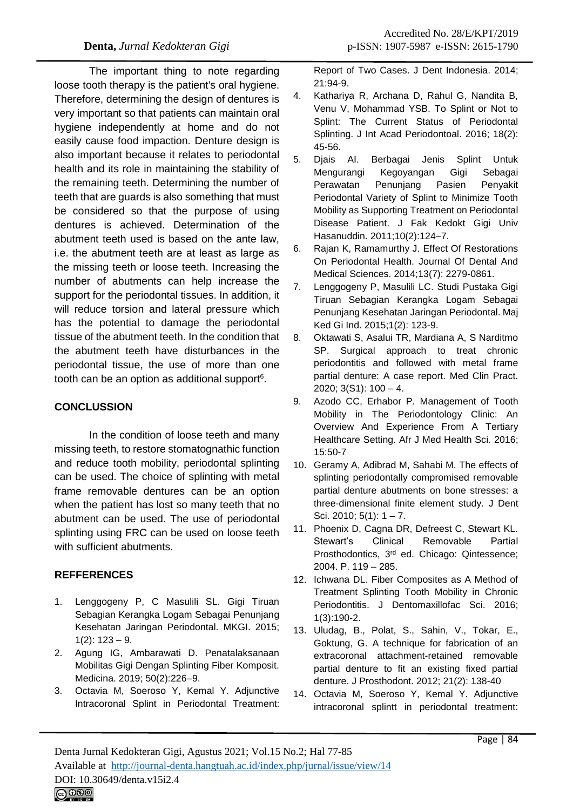The important thing to note regarding loose tooth therapy is the patient's oral hygiene. Therefore, determining the design of dentures is very important so that patients can maintain oral hygiene independently at home and do not easily cause food impaction. Denture design is also important because it relates to periodontal health and its role in maintaining the stability of the remaining teeth. Determining the number of teeth that are guards is also something that must be considered so that the purpose of using dentures is achieved. Determination of the abutment teeth used is based on the ante law, i.e. the abutment teeth are at least as large as the missing teeth or loose teeth. Increasing the number of abutments can help increase the support for the periodontal tissues. In addition, it will reduce torsion and lateral pressure which has the potential to damage the periodontal tissue of the abutment teeth. In the condition that the abutment teeth have disturbances in the periodontal tissue, the use of more than one tooth can be an option as additional support $6$ .

# **CONCLUSSION**

In the condition of loose teeth and many missing teeth, to restore stomatognathic function and reduce tooth mobility, periodontal splinting can be used. The choice of splinting with metal frame removable dentures can be an option when the patient has lost so many teeth that no abutment can be used. The use of periodontal splinting using FRC can be used on loose teeth with sufficient abutments.

# **REFFERENCES**

- 1. Lenggogeny P, C Masulili SL. Gigi Tiruan Sebagian Kerangka Logam Sebagai Penunjang Kesehatan Jaringan Periodontal. MKGI. 2015;  $1(2)$ :  $123 - 9$ .
- 2. Agung IG, Ambarawati D. Penatalaksanaan Mobilitas Gigi Dengan Splinting Fiber Komposit. Medicina. 2019; 50(2):226–9.
- 3. Octavia M, Soeroso Y, Kemal Y. Adjunctive Intracoronal Splint in Periodontal Treatment:

Report of Two Cases. J Dent Indonesia. 2014; 21:94-9.

- 4. Kathariya R, Archana D, Rahul G, Nandita B, Venu V, Mohammad YSB. To Splint or Not to Splint: The Current Status of Periodontal Splinting. J Int Acad Periodontoal. 2016; 18(2): 45-56.
- 5. Djais AI. Berbagai Jenis Splint Untuk Mengurangi Kegoyangan Gigi Sebagai Perawatan Penunjang Pasien Penyakit Periodontal Variety of Splint to Minimize Tooth Mobility as Supporting Treatment on Periodontal Disease Patient. J Fak Kedokt Gigi Univ Hasanuddin. 2011;10(2):124–7.
- 6. Rajan K, Ramamurthy J. Effect Of Restorations On Periodontal Health. Journal Of Dental And Medical Sciences. 2014;13(7): 2279-0861.
- 7. Lenggogeny P, Masulili LC. Studi Pustaka Gigi Tiruan Sebagian Kerangka Logam Sebagai Penunjang Kesehatan Jaringan Periodontal. Maj Ked Gi Ind. 2015;1(2): 123-9.
- 8. Oktawati S, Asalui TR, Mardiana A, S Narditmo SP. Surgical approach to treat chronic periodontitis and followed with metal frame partial denture: A case report. Med Clin Pract. 2020; 3(S1): 100 – 4.
- 9. Azodo CC, Erhabor P. Management of Tooth Mobility in The Periodontology Clinic: An Overview And Experience From A Tertiary Healthcare Setting. Afr J Med Health Sci*.* 2016; 15:50-7
- 10. Geramy A, Adibrad M, Sahabi M. The effects of splinting periodontally compromised removable partial denture abutments on bone stresses: a three-dimensional finite element study. J Dent Sci. 2010; 5(1): 1 – 7.
- 11. Phoenix D, Cagna DR, Defreest C, Stewart KL. Stewart's Clinical Removable Partial Prosthodontics, 3rd ed. Chicago: Qintessence; 2004. P. 119 – 285.
- 12. Ichwana DL. Fiber Composites as A Method of Treatment Splinting Tooth Mobility in Chronic Periodontitis. J Dentomaxillofac Sci. 2016; 1(3):190-2.
- 13. Uludag, B., Polat, S., Sahin, V., Tokar, E., Goktung, G. A technique for fabrication of an extracoronal attachment-retained removable partial denture to fit an existing fixed partial denture. J Prosthodont. 2012; 21(2): 138-40
- 14. Octavia M, Soeroso Y, Kemal Y. Adjunctive intracoronal splintt in periodontal treatment: